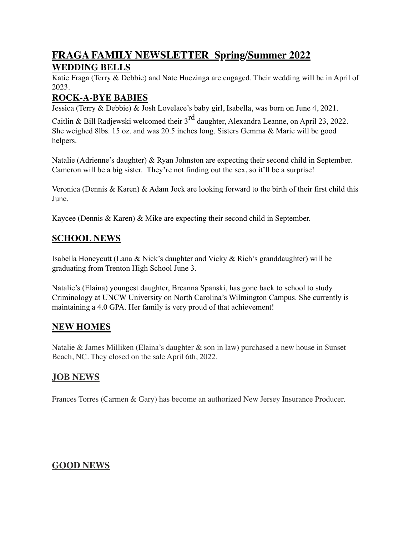# **FRAGA FAMILY NEWSLETTER Spring/Summer 2022 WEDDING BELLS**

Katie Fraga (Terry & Debbie) and Nate Huezinga are engaged. Their wedding will be in April of 2023.

## **ROCK-A-BYE BABIES**

Jessica (Terry & Debbie) & Josh Lovelace's baby girl, Isabella, was born on June 4, 2021.

Caitlin & Bill Radjewski welcomed their  $3<sup>rd</sup>$  daughter, Alexandra Leanne, on April 23, 2022. She weighed 8lbs. 15 oz. and was 20.5 inches long. Sisters Gemma & Marie will be good helpers.

Natalie (Adrienne's daughter) & Ryan Johnston are expecting their second child in September. Cameron will be a big sister. They're not finding out the sex, so it'll be a surprise!

Veronica (Dennis & Karen) & Adam Jock are looking forward to the birth of their first child this June.

Kaycee (Dennis & Karen) & Mike are expecting their second child in September.

## **SCHOOL NEWS**

Isabella Honeycutt (Lana & Nick's daughter and Vicky & Rich's granddaughter) will be graduating from Trenton High School June 3.

Natalie's (Elaina) youngest daughter, Breanna Spanski, has gone back to school to study Criminology at UNCW University on North Carolina's Wilmington Campus. She currently is maintaining a 4.0 GPA. Her family is very proud of that achievement!

## **NEW HOMES**

Natalie & James Milliken (Elaina's daughter & son in law) purchased a new house in Sunset Beach, NC. They closed on the sale April 6th, 2022.

## **JOB NEWS**

Frances Torres (Carmen & Gary) has become an authorized New Jersey Insurance Producer.

## **GOOD NEWS**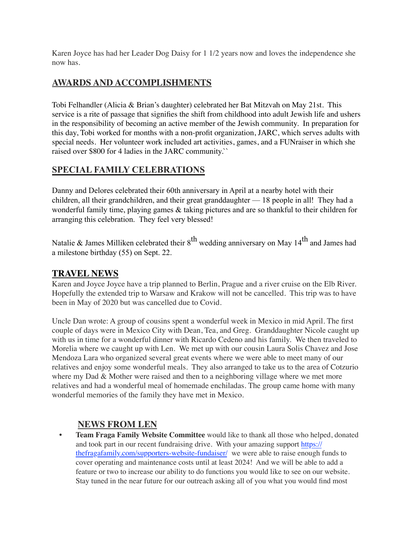Karen Joyce has had her Leader Dog Daisy for 1 1/2 years now and loves the independence she now has.

## **AWARDS AND ACCOMPLISHMENTS**

Tobi Felhandler (Alicia & Brian's daughter) celebrated her Bat Mitzvah on May 21st. This service is a rite of passage that signifies the shift from childhood into adult Jewish life and ushers in the responsibility of becoming an active member of the Jewish community. In preparation for this day, Tobi worked for months with a non-profit organization, JARC, which serves adults with special needs. Her volunteer work included art activities, games, and a FUNraiser in which she raised over \$800 for 4 ladies in the JARC community.``

#### **SPECIAL FAMILY CELEBRATIONS**

Danny and Delores celebrated their 60th anniversary in April at a nearby hotel with their children, all their grandchildren, and their great granddaughter — 18 people in all! They had a wonderful family time, playing games & taking pictures and are so thankful to their children for arranging this celebration. They feel very blessed!

Natalie & James Milliken celebrated their  $8<sup>th</sup>$  wedding anniversary on May 14<sup>th</sup> and James had a milestone birthday (55) on Sept. 22.

#### **TRAVEL NEWS**

Karen and Joyce Joyce have a trip planned to Berlin, Prague and a river cruise on the Elb River. Hopefully the extended trip to Warsaw and Krakow will not be cancelled. This trip was to have been in May of 2020 but was cancelled due to Covid.

Uncle Dan wrote: A group of cousins spent a wonderful week in Mexico in mid April. The first couple of days were in Mexico City with Dean, Tea, and Greg. Granddaughter Nicole caught up with us in time for a wonderful dinner with Ricardo Cedeno and his family. We then traveled to Morelia where we caught up with Len. We met up with our cousin Laura Solis Chavez and Jose Mendoza Lara who organized several great events where we were able to meet many of our relatives and enjoy some wonderful meals. They also arranged to take us to the area of Cotzurio where my Dad  $\&$  Mother were raised and then to a neighboring village where we met more relatives and had a wonderful meal of homemade enchiladas. The group came home with many wonderful memories of the family they have met in Mexico.

#### **NEWS FROM LEN**

**• Team Fraga Family Website Committee** would like to thank all those who helped, donated and took part in our recent fundraising drive. With your amazing support https:// thefragafamily.com/supporters-website-fundaiser/ we were able to raise enough funds to cover operating and maintenance costs until at least 2024! And we will be able to add a feature or two to increase our ability to do functions you would like to see on our website. Stay tuned in the near future for our outreach asking all of you what you would find most